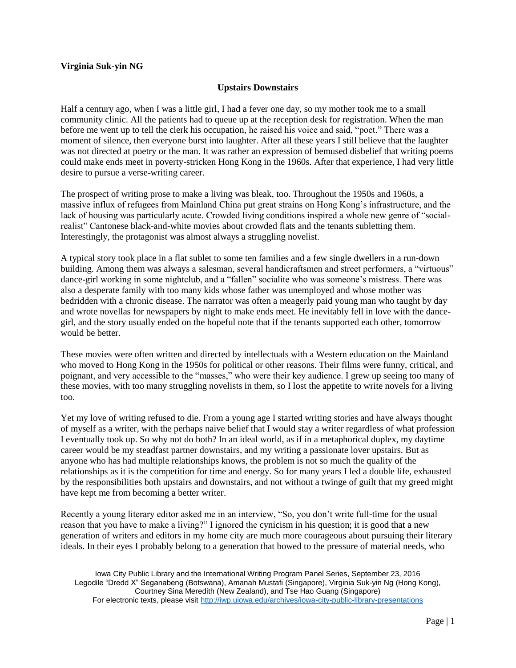## **Virginia Suk-yin NG**

## **Upstairs Downstairs**

Half a century ago, when I was a little girl, I had a fever one day, so my mother took me to a small community clinic. All the patients had to queue up at the reception desk for registration. When the man before me went up to tell the clerk his occupation, he raised his voice and said, "poet." There was a moment of silence, then everyone burst into laughter. After all these years I still believe that the laughter was not directed at poetry or the man. It was rather an expression of bemused disbelief that writing poems could make ends meet in poverty-stricken Hong Kong in the 1960s. After that experience, I had very little desire to pursue a verse-writing career.

The prospect of writing prose to make a living was bleak, too. Throughout the 1950s and 1960s, a massive influx of refugees from Mainland China put great strains on Hong Kong's infrastructure, and the lack of housing was particularly acute. Crowded living conditions inspired a whole new genre of "socialrealist" Cantonese black-and-white movies about crowded flats and the tenants subletting them. Interestingly, the protagonist was almost always a struggling novelist.

A typical story took place in a flat sublet to some ten families and a few single dwellers in a run-down building. Among them was always a salesman, several handicraftsmen and street performers, a "virtuous" dance-girl working in some nightclub, and a "fallen" socialite who was someone's mistress. There was also a desperate family with too many kids whose father was unemployed and whose mother was bedridden with a chronic disease. The narrator was often a meagerly paid young man who taught by day and wrote novellas for newspapers by night to make ends meet. He inevitably fell in love with the dancegirl, and the story usually ended on the hopeful note that if the tenants supported each other, tomorrow would be better.

These movies were often written and directed by intellectuals with a Western education on the Mainland who moved to Hong Kong in the 1950s for political or other reasons. Their films were funny, critical, and poignant, and very accessible to the "masses," who were their key audience. I grew up seeing too many of these movies, with too many struggling novelists in them, so I lost the appetite to write novels for a living too.

Yet my love of writing refused to die. From a young age I started writing stories and have always thought of myself as a writer, with the perhaps naive belief that I would stay a writer regardless of what profession I eventually took up. So why not do both? In an ideal world, as if in a metaphorical duplex, my daytime career would be my steadfast partner downstairs, and my writing a passionate lover upstairs. But as anyone who has had multiple relationships knows, the problem is not so much the quality of the relationships as it is the competition for time and energy. So for many years I led a double life, exhausted by the responsibilities both upstairs and downstairs, and not without a twinge of guilt that my greed might have kept me from becoming a better writer.

Recently a young literary editor asked me in an interview, "So, you don't write full-time for the usual reason that you have to make a living?" I ignored the cynicism in his question; it is good that a new generation of writers and editors in my home city are much more courageous about pursuing their literary ideals. In their eyes I probably belong to a generation that bowed to the pressure of material needs, who

Iowa City Public Library and the International Writing Program Panel Series, September 23, 2016 Legodile "Dredd X" Seganabeng (Botswana), Amanah Mustafi (Singapore), Virginia Suk-yin Ng (Hong Kong), Courtney Sina Meredith (New Zealand), and Tse Hao Guang (Singapore) For electronic texts, please visit<http://iwp.uiowa.edu/archives/iowa-city-public-library-presentations>